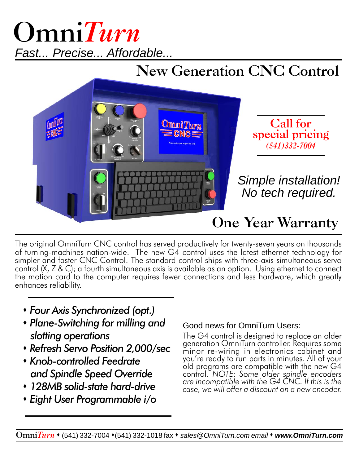## *Fast... Precise... Affordable...* **Omni***Turn*

## **New Generation CNC Control**



The original OmniTurn CNC control has served productively for twenty-seven years on thousands of turning-machines nation-wide. The new G4 control uses the latest ethernet technology for simpler and faster CNC Control. The standard control ships with three-axis simultaneous servo control (X, Z & C); a fourth simultaneous axis is available as an option. Using ethernet to connect the motion card to the computer requires fewer connections and less hardware, which greatly enhances reliability.

- *Four Axis Synchronized (opt.)*
- *Plane-Switching for milling and slotting operations*
- *Refresh Servo Position 2,000/sec*
- *Knob-controlled Feedrate and Spindle Speed Override*
- *128MB solid-state hard-drive*
- *Eight User Programmable i/o*

## Good news for OmniTurn Users:

The G4 control is designed to replace an older generation OmniTurn controller. Requires some minor re-wiring in electronics cabinet and you're ready to run parts in minutes. All of your old programs are compatible with the new G4 control. *NOTE:* Some older spindle encoders are incompatible with the G4 CNC. If this is the *case, we will offer a discount on a new encoder.*

**Omni***Turn*  (541) 332-7004 (541) 332-1018 fax *sales@OmniTurn.com email www.OmniTurn.com*